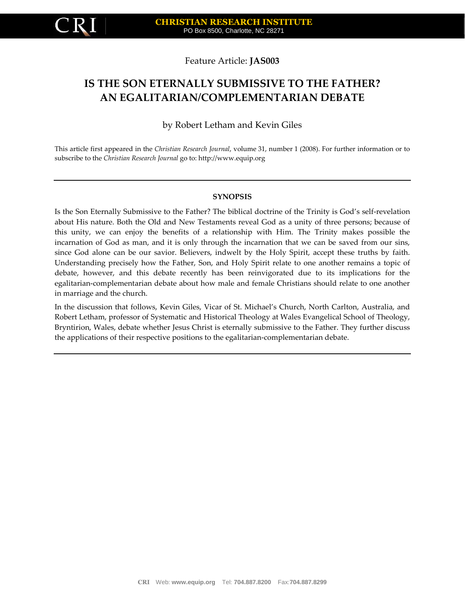

## Feature Article: **JAS003**

# **IS THE SON ETERNALLY SUBMISSIVE TO THE FATHER? AN EGALITARIAN/COMPLEMENTARIAN DEBATE**

# by Robert Letham and Kevin Giles

This article first appeared in the *Christian Research Journal*, volume 31, number 1 (2008). For further information or to subscribe to the *Christian Research Journal* go to: http://www.equip.org

#### **SYNOPSIS**

Is the Son Eternally Submissive to the Father? The biblical doctrine of the Trinity is God's self-revelation about His nature. Both the Old and New Testaments reveal God as a unity of three persons; because of this unity, we can enjoy the benefits of a relationship with Him. The Trinity makes possible the incarnation of God as man, and it is only through the incarnation that we can be saved from our sins, since God alone can be our savior. Believers, indwelt by the Holy Spirit, accept these truths by faith. Understanding precisely how the Father, Son, and Holy Spirit relate to one another remains a topic of debate, however, and this debate recently has been reinvigorated due to its implications for the egalitarian-complementarian debate about how male and female Christians should relate to one another in marriage and the church.

In the discussion that follows, Kevin Giles, Vicar of St. Michael's Church, North Carlton, Australia, and Robert Letham, professor of Systematic and Historical Theology at Wales Evangelical School of Theology, Bryntirion, Wales, debate whether Jesus Christ is eternally submissive to the Father. They further discuss the applications of their respective positions to the egalitarian-complementarian debate.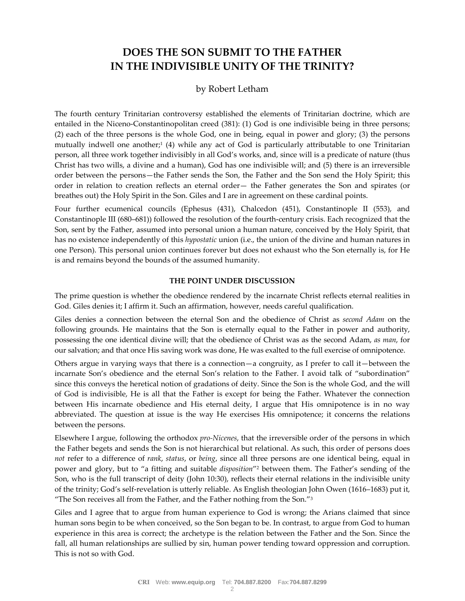# **DOES THE SON SUBMIT TO THE FATHER IN THE INDIVISIBLE UNITY OF THE TRINITY?**

# by Robert Letham

The fourth century Trinitarian controversy established the elements of Trinitarian doctrine, which are entailed in the Niceno-Constantinopolitan creed (381): (1) God is one indivisible being in three persons; (2) each of the three persons is the whole God, one in being, equal in power and glory; (3) the persons mutually indwell one another;<sup>1</sup> (4) while any act of God is particularly attributable to one Trinitarian person, all three work together indivisibly in all God's works, and, since will is a predicate of nature (thus Christ has two wills, a divine and a human), God has one indivisible will; and (5) there is an irreversible order between the persons—the Father sends the Son, the Father and the Son send the Holy Spirit; this order in relation to creation reflects an eternal order— the Father generates the Son and spirates (or breathes out) the Holy Spirit in the Son. Giles and I are in agreement on these cardinal points.

Four further ecumenical councils (Ephesus (431), Chalcedon (451), Constantinople II (553), and Constantinople III (680–681)) followed the resolution of the fourth-century crisis. Each recognized that the Son, sent by the Father, assumed into personal union a human nature, conceived by the Holy Spirit, that has no existence independently of this *hypostatic* union (i.e., the union of the divine and human natures in one Person). This personal union continues forever but does not exhaust who the Son eternally is, for He is and remains beyond the bounds of the assumed humanity.

#### **THE POINT UNDER DISCUSSION**

The prime question is whether the obedience rendered by the incarnate Christ reflects eternal realities in God. Giles denies it; I affirm it. Such an affirmation, however, needs careful qualification.

Giles denies a connection between the eternal Son and the obedience of Christ as *second Adam* on the following grounds. He maintains that the Son is eternally equal to the Father in power and authority, possessing the one identical divine will; that the obedience of Christ was as the second Adam, *as man*, for our salvation; and that once His saving work was done, He was exalted to the full exercise of omnipotence.

Others argue in varying ways that there is a connection—a congruity, as I prefer to call it—between the incarnate Son's obedience and the eternal Son's relation to the Father. I avoid talk of "subordination" since this conveys the heretical notion of gradations of deity. Since the Son is the whole God, and the will of God is indivisible, He is all that the Father is except for being the Father. Whatever the connection between His incarnate obedience and His eternal deity, I argue that His omnipotence is in no way abbreviated. The question at issue is the way He exercises His omnipotence; it concerns the relations between the persons.

Elsewhere I argue, following the orthodox *pro-Nicenes*, that the irreversible order of the persons in which the Father begets and sends the Son is not hierarchical but relational. As such, this order of persons does *not* refer to a difference of *rank*, *status*, or *being*, since all three persons are one identical being, equal in power and glory, but to "a fitting and suitable *disposition*" <sup>2</sup> between them. The Father's sending of the Son, who is the full transcript of deity (John 10:30), reflects their eternal relations in the indivisible unity of the trinity; God's self-revelation is utterly reliable. As English theologian John Owen (1616–1683) put it, "The Son receives all from the Father, and the Father nothing from the Son."<sup>3</sup>

Giles and I agree that to argue from human experience to God is wrong; the Arians claimed that since human sons begin to be when conceived, so the Son began to be. In contrast, to argue from God to human experience in this area is correct; the archetype is the relation between the Father and the Son. Since the fall, all human relationships are sullied by sin, human power tending toward oppression and corruption. This is not so with God.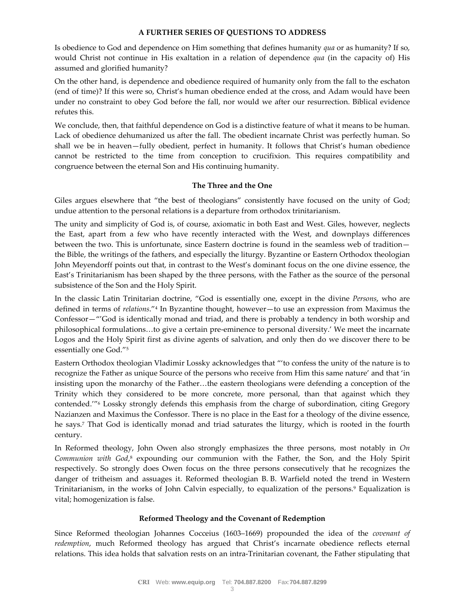#### **A FURTHER SERIES OF QUESTIONS TO ADDRESS**

Is obedience to God and dependence on Him something that defines humanity *qua* or as humanity? If so, would Christ not continue in His exaltation in a relation of dependence *qua* (in the capacity of) His assumed and glorified humanity?

On the other hand, is dependence and obedience required of humanity only from the fall to the eschaton (end of time)? If this were so, Christ's human obedience ended at the cross, and Adam would have been under no constraint to obey God before the fall, nor would we after our resurrection. Biblical evidence refutes this.

We conclude, then, that faithful dependence on God is a distinctive feature of what it means to be human. Lack of obedience dehumanized us after the fall. The obedient incarnate Christ was perfectly human. So shall we be in heaven—fully obedient, perfect in humanity. It follows that Christ's human obedience cannot be restricted to the time from conception to crucifixion. This requires compatibility and congruence between the eternal Son and His continuing humanity.

#### **The Three and the One**

Giles argues elsewhere that "the best of theologians" consistently have focused on the unity of God; undue attention to the personal relations is a departure from orthodox trinitarianism.

The unity and simplicity of God is, of course, axiomatic in both East and West. Giles, however, neglects the East, apart from a few who have recently interacted with the West, and downplays differences between the two. This is unfortunate, since Eastern doctrine is found in the seamless web of tradition the Bible, the writings of the fathers, and especially the liturgy. Byzantine or Eastern Orthodox theologian John Meyendorff points out that, in contrast to the West's dominant focus on the one divine essence, the East's Trinitarianism has been shaped by the three persons, with the Father as the source of the personal subsistence of the Son and the Holy Spirit.

In the classic Latin Trinitarian doctrine, "God is essentially one, except in the divine *Persons*, who are defined in terms of *relations*."<sup>4</sup> In Byzantine thought, however—to use an expression from Maximus the Confessor—"'God is identically monad and triad, and there is probably a tendency in both worship and philosophical formulations…to give a certain pre-eminence to personal diversity.' We meet the incarnate Logos and the Holy Spirit first as divine agents of salvation, and only then do we discover there to be essentially one God."<sup>5</sup>

Eastern Orthodox theologian Vladimir Lossky acknowledges that "'to confess the unity of the nature is to recognize the Father as unique Source of the persons who receive from Him this same nature' and that 'in insisting upon the monarchy of the Father…the eastern theologians were defending a conception of the Trinity which they considered to be more concrete, more personal, than that against which they contended.'"<sup>6</sup> Lossky strongly defends this emphasis from the charge of subordination, citing Gregory Nazianzen and Maximus the Confessor. There is no place in the East for a theology of the divine essence, he says.<sup>7</sup> That God is identically monad and triad saturates the liturgy, which is rooted in the fourth century.

In Reformed theology, John Owen also strongly emphasizes the three persons, most notably in *On* Communion with God,<sup>8</sup> expounding our communion with the Father, the Son, and the Holy Spirit respectively. So strongly does Owen focus on the three persons consecutively that he recognizes the danger of tritheism and assuages it. Reformed theologian B. B. Warfield noted the trend in Western Trinitarianism, in the works of John Calvin especially, to equalization of the persons.<sup>9</sup> Equalization is vital; homogenization is false.

#### **Reformed Theology and the Covenant of Redemption**

Since Reformed theologian Johannes Cocceius (1603–1669) propounded the idea of the *covenant of redemption*, much Reformed theology has argued that Christ's incarnate obedience reflects eternal relations. This idea holds that salvation rests on an intra-Trinitarian covenant, the Father stipulating that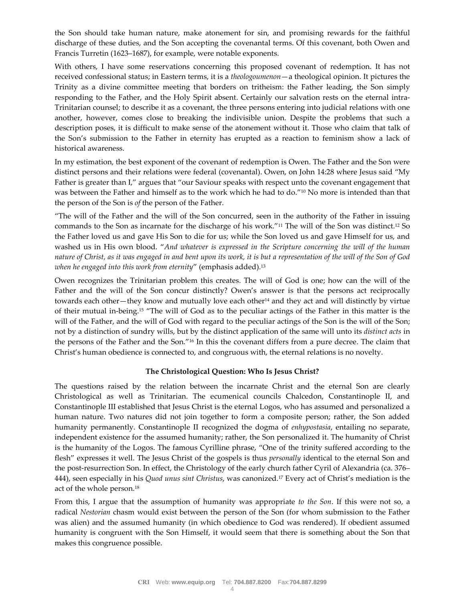the Son should take human nature, make atonement for sin, and promising rewards for the faithful discharge of these duties, and the Son accepting the covenantal terms. Of this covenant, both Owen and Francis Turretin (1623–1687), for example, were notable exponents.

With others, I have some reservations concerning this proposed covenant of redemption. It has not received confessional status; in Eastern terms, it is a *theologoumenon*—a theological opinion. It pictures the Trinity as a divine committee meeting that borders on tritheism: the Father leading, the Son simply responding to the Father, and the Holy Spirit absent. Certainly our salvation rests on the eternal intra-Trinitarian counsel; to describe it as a covenant, the three persons entering into judicial relations with one another, however, comes close to breaking the indivisible union. Despite the problems that such a description poses, it is difficult to make sense of the atonement without it. Those who claim that talk of the Son's submission to the Father in eternity has erupted as a reaction to feminism show a lack of historical awareness.

In my estimation, the best exponent of the covenant of redemption is Owen. The Father and the Son were distinct persons and their relations were federal (covenantal). Owen, on John 14:28 where Jesus said "My Father is greater than I," argues that "our Saviour speaks with respect unto the covenant engagement that was between the Father and himself as to the work which he had to do."<sup>10</sup> No more is intended than that the person of the Son is *of* the person of the Father.

"The will of the Father and the will of the Son concurred, seen in the authority of the Father in issuing commands to the Son as incarnate for the discharge of his work."<sup>11</sup> The will of the Son was distinct.<sup>12</sup> So the Father loved us and gave His Son to die for us; while the Son loved us and gave Himself for us, and washed us in His own blood. "*And whatever is expressed in the Scripture concerning the will of the human nature of Christ, as it was engaged in and bent upon its work, it is but a representation of the will of the Son of God when he engaged into this work from eternity*" (emphasis added).<sup>13</sup>

Owen recognizes the Trinitarian problem this creates. The will of God is one; how can the will of the Father and the will of the Son concur distinctly? Owen's answer is that the persons act reciprocally towards each other—they know and mutually love each other<sup>14</sup> and they act and will distinctly by virtue of their mutual in-being.<sup>15</sup> "The will of God as to the peculiar actings of the Father in this matter is the will of the Father, and the will of God with regard to the peculiar actings of the Son is the will of the Son; not by a distinction of sundry wills, but by the distinct application of the same will unto its *distinct acts* in the persons of the Father and the Son."<sup>16</sup> In this the covenant differs from a pure decree. The claim that Christ's human obedience is connected to, and congruous with, the eternal relations is no novelty.

#### **The Christological Question: Who Is Jesus Christ?**

The questions raised by the relation between the incarnate Christ and the eternal Son are clearly Christological as well as Trinitarian. The ecumenical councils Chalcedon, Constantinople II, and Constantinople III established that Jesus Christ is the eternal Logos, who has assumed and personalized a human nature. Two natures did not join together to form a composite person; rather, the Son added humanity permanently. Constantinople II recognized the dogma of *enhypostasia*, entailing no separate, independent existence for the assumed humanity; rather, the Son personalized it. The humanity of Christ is the humanity of the Logos. The famous Cyrilline phrase, "One of the trinity suffered according to the flesh" expresses it well. The Jesus Christ of the gospels is thus *personally* identical to the eternal Son and the post-resurrection Son. In effect, the Christology of the early church father Cyril of Alexandria (ca. 376– 444), seen especially in his *Quod unus sint Christus*, was canonized.<sup>17</sup> Every act of Christ's mediation is the act of the whole person.<sup>18</sup>

From this, I argue that the assumption of humanity was appropriate *to the Son*. If this were not so, a radical *Nestorian* chasm would exist between the person of the Son (for whom submission to the Father was alien) and the assumed humanity (in which obedience to God was rendered). If obedient assumed humanity is congruent with the Son Himself, it would seem that there is something about the Son that makes this congruence possible.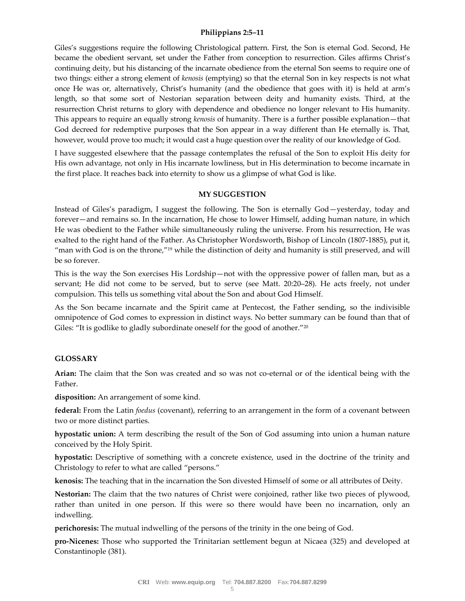#### **Philippians 2:5–11**

Giles's suggestions require the following Christological pattern. First, the Son is eternal God. Second, He became the obedient servant, set under the Father from conception to resurrection. Giles affirms Christ's continuing deity, but his distancing of the incarnate obedience from the eternal Son seems to require one of two things: either a strong element of *kenosis* (emptying) so that the eternal Son in key respects is not what once He was or, alternatively, Christ's humanity (and the obedience that goes with it) is held at arm's length, so that some sort of Nestorian separation between deity and humanity exists. Third, at the resurrection Christ returns to glory with dependence and obedience no longer relevant to His humanity. This appears to require an equally strong *kenosis* of humanity. There is a further possible explanation—that God decreed for redemptive purposes that the Son appear in a way different than He eternally is. That, however, would prove too much; it would cast a huge question over the reality of our knowledge of God.

I have suggested elsewhere that the passage contemplates the refusal of the Son to exploit His deity for His own advantage, not only in His incarnate lowliness, but in His determination to become incarnate in the first place. It reaches back into eternity to show us a glimpse of what God is like.

#### **MY SUGGESTION**

Instead of Giles's paradigm, I suggest the following. The Son is eternally God—yesterday, today and forever—and remains so. In the incarnation, He chose to lower Himself, adding human nature, in which He was obedient to the Father while simultaneously ruling the universe. From his resurrection, He was exalted to the right hand of the Father. As Christopher Wordsworth, Bishop of Lincoln (1807-1885), put it, "man with God is on the throne,"<sup>19</sup> while the distinction of deity and humanity is still preserved, and will be so forever.

This is the way the Son exercises His Lordship—not with the oppressive power of fallen man, but as a servant; He did not come to be served, but to serve (see Matt. 20:20–28). He acts freely, not under compulsion. This tells us something vital about the Son and about God Himself.

As the Son became incarnate and the Spirit came at Pentecost, the Father sending, so the indivisible omnipotence of God comes to expression in distinct ways. No better summary can be found than that of Giles: "It is godlike to gladly subordinate oneself for the good of another."<sup>20</sup>

#### **GLOSSARY**

**Arian:** The claim that the Son was created and so was not co-eternal or of the identical being with the Father.

**disposition:** An arrangement of some kind.

**federal:** From the Latin *foedus* (covenant), referring to an arrangement in the form of a covenant between two or more distinct parties.

**hypostatic union:** A term describing the result of the Son of God assuming into union a human nature conceived by the Holy Spirit.

**hypostatic:** Descriptive of something with a concrete existence, used in the doctrine of the trinity and Christology to refer to what are called "persons."

**kenosis:** The teaching that in the incarnation the Son divested Himself of some or all attributes of Deity.

**Nestorian:** The claim that the two natures of Christ were conjoined, rather like two pieces of plywood, rather than united in one person. If this were so there would have been no incarnation, only an indwelling.

**perichoresis:** The mutual indwelling of the persons of the trinity in the one being of God.

**pro-Nicenes:** Those who supported the Trinitarian settlement begun at Nicaea (325) and developed at Constantinople (381).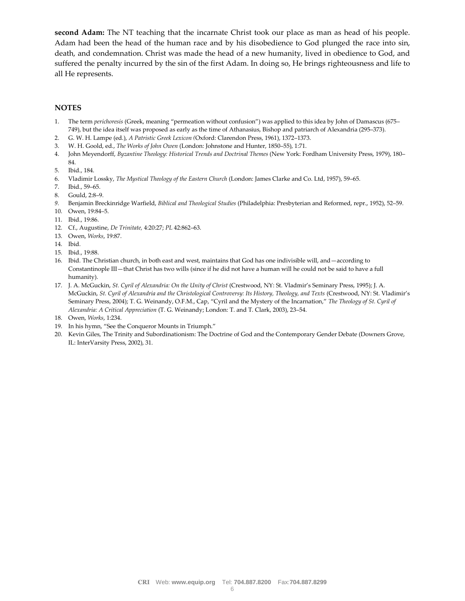**second Adam:** The NT teaching that the incarnate Christ took our place as man as head of his people. Adam had been the head of the human race and by his disobedience to God plunged the race into sin, death, and condemnation. Christ was made the head of a new humanity, lived in obedience to God, and suffered the penalty incurred by the sin of the first Adam. In doing so, He brings righteousness and life to all He represents.

#### **NOTES**

- 1. The term *perichoresis* (Greek, meaning "permeation without confusion") was applied to this idea by John of Damascus (675– 749), but the idea itself was proposed as early as the time of Athanasius, Bishop and patriarch of Alexandria (295–373).
- 2. G. W. H. Lampe (ed.), *A Patristic Greek Lexicon (*Oxford: Clarendon Press, 1961), 1372–1373.
- 3. W. H. Goold, ed., *The Works of John Owen* (London: Johnstone and Hunter, 1850–55), 1:71.
- 4. John Meyendorff, *Byzantine Theology: Historical Trends and Doctrinal Themes* (New York: Fordham University Press, 1979), 180– 84.
- 5. Ibid., 184.
- 6. Vladimir Lossky, *The Mystical Theology of the Eastern Church* (London: James Clarke and Co. Ltd, 1957), 59–65.
- 7. Ibid., 59–65.
- 8. Gould, 2:8–9.
- *9.* Benjamin Breckinridge Warfield, *Biblical and Theological Studies* (Philadelphia: Presbyterian and Reformed, repr., 1952), 52–59.
- 10. Owen, 19:84–5.
- 11. Ibid., 19:86.
- 12. Cf., Augustine, *De Trinitate,* 4:20:27; *PL* 42:862–63.
- 13. Owen, *Works*, 19:87.
- 14. Ibid.
- 15. Ibid., 19:88.
- 16. Ibid. The Christian church, in both east and west, maintains that God has one indivisible will, and—according to Constantinople III—that Christ has two wills (since if he did not have a human will he could not be said to have a full humanity).
- 17. J. A. McGuckin, *St. Cyril of Alexandria: On the Unity of Christ* (Crestwood, NY: St. Vladmir's Seminary Press, 1995); J. A. McGuckin, *St. Cyril of Alexandria and the Christological Controversy: Its History, Theology, and Texts* (Crestwood, NY: St. Vladimir's Seminary Press, 2004); T. G. Weinandy, O.F.M., Cap, "Cyril and the Mystery of the Incarnation," *The Theology of St. Cyril of Alexandria: A Critical Appreciation* (T. G. Weinandy; London: T. and T. Clark, 2003), 23–54.
- 18. Owen, *Works*, 1:234.
- 19. In his hymn, "See the Conqueror Mounts in Triumph."
- 20. Kevin Giles, The Trinity and Subordinationism: The Doctrine of God and the Contemporary Gender Debate (Downers Grove, IL: InterVarsity Press, 2002), 31.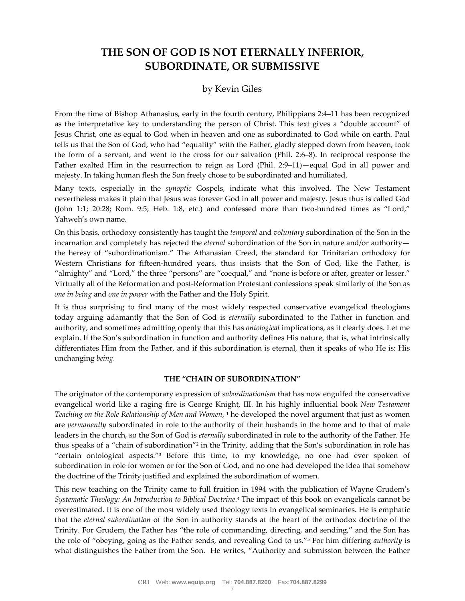# **THE SON OF GOD IS NOT ETERNALLY INFERIOR, SUBORDINATE, OR SUBMISSIVE**

# by Kevin Giles

From the time of Bishop Athanasius, early in the fourth century, Philippians 2:4–11 has been recognized as the interpretative key to understanding the person of Christ. This text gives a "double account" of Jesus Christ, one as equal to God when in heaven and one as subordinated to God while on earth. Paul tells us that the Son of God, who had "equality" with the Father, gladly stepped down from heaven, took the form of a servant, and went to the cross for our salvation (Phil. 2:6–8). In reciprocal response the Father exalted Him in the resurrection to reign as Lord (Phil. 2:9–11)—equal God in all power and majesty. In taking human flesh the Son freely chose to be subordinated and humiliated.

Many texts, especially in the *synoptic* Gospels, indicate what this involved. The New Testament nevertheless makes it plain that Jesus was forever God in all power and majesty. Jesus thus is called God (John 1:1; 20:28; Rom. 9:5; Heb. 1:8, etc.) and confessed more than two-hundred times as "Lord," Yahweh's own name.

On this basis, orthodoxy consistently has taught the *temporal* and *voluntary* subordination of the Son in the incarnation and completely has rejected the *eternal* subordination of the Son in nature and/or authority the heresy of "subordinationism." The Athanasian Creed, the standard for Trinitarian orthodoxy for Western Christians for fifteen-hundred years, thus insists that the Son of God, like the Father, is "almighty" and "Lord," the three "persons" are "coequal," and "none is before or after, greater or lesser." Virtually all of the Reformation and post-Reformation Protestant confessions speak similarly of the Son as *one in being* and *one in power* with the Father and the Holy Spirit.

It is thus surprising to find many of the most widely respected conservative evangelical theologians today arguing adamantly that the Son of God is *eternally* subordinated to the Father in function and authority, and sometimes admitting openly that this has *ontological* implications, as it clearly does. Let me explain. If the Son's subordination in function and authority defines His nature, that is, what intrinsically differentiates Him from the Father, and if this subordination is eternal, then it speaks of who He is: His unchanging *being.*

#### **THE "CHAIN OF SUBORDINATION"**

The originator of the contemporary expression of *subordinationism* that has now engulfed the conservative evangelical world like a raging fire is George Knight, III. In his highly influential book *New Testament Teaching on the Role Relationship of Men and Women*, <sup>1</sup> he developed the novel argument that just as women are *permanently* subordinated in role to the authority of their husbands in the home and to that of male leaders in the church, so the Son of God is *eternally* subordinated in role to the authority of the Father. He thus speaks of a "chain of subordination"<sup>2</sup> in the Trinity, adding that the Son's subordination in role has "certain ontological aspects."<sup>3</sup> Before this time, to my knowledge, no one had ever spoken of subordination in role for women or for the Son of God, and no one had developed the idea that somehow the doctrine of the Trinity justified and explained the subordination of women.

This new teaching on the Trinity came to full fruition in 1994 with the publication of Wayne Grudem's *Systematic Theology: An Introduction to Biblical Doctrine*. <sup>4</sup> The impact of this book on evangelicals cannot be overestimated. It is one of the most widely used theology texts in evangelical seminaries. He is emphatic that the *eternal subordination* of the Son in authority stands at the heart of the orthodox doctrine of the Trinity. For Grudem, the Father has "the role of commanding, directing, and sending," and the Son has the role of "obeying, going as the Father sends, and revealing God to us."<sup>5</sup> For him differing *authority* is what distinguishes the Father from the Son. He writes, "Authority and submission between the Father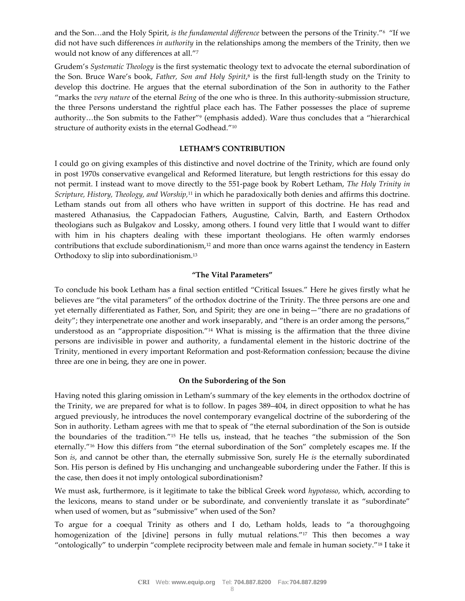and the Son…and the Holy Spirit, *is the fundamental difference* between the persons of the Trinity."<sup>6</sup> "If we did not have such differences *in authority* in the relationships among the members of the Trinity, then we would not know of any differences at all."<sup>7</sup>

Grudem's *Systematic Theology* is the first systematic theology text to advocate the eternal subordination of the Son. Bruce Ware's book, *Father, Son and Holy Spirit*, 8 is the first full-length study on the Trinity to develop this doctrine. He argues that the eternal subordination of the Son in authority to the Father "marks the *very nature* of the eternal *Being* of the one who is three. In this authority-submission structure, the three Persons understand the rightful place each has. The Father possesses the place of supreme authority…the Son submits to the Father"<sup>9</sup> (emphasis added). Ware thus concludes that a "hierarchical structure of authority exists in the eternal Godhead."<sup>10</sup>

#### **LETHAM'S CONTRIBUTION**

I could go on giving examples of this distinctive and novel doctrine of the Trinity, which are found only in post 1970s conservative evangelical and Reformed literature, but length restrictions for this essay do not permit. I instead want to move directly to the 551-page book by Robert Letham, *The Holy Trinity in Scripture, History, Theology, and Worship,*<sup>11</sup> in which he paradoxically both denies and affirms this doctrine. Letham stands out from all others who have written in support of this doctrine. He has read and mastered Athanasius, the Cappadocian Fathers, Augustine, Calvin, Barth, and Eastern Orthodox theologians such as Bulgakov and Lossky, among others. I found very little that I would want to differ with him in his chapters dealing with these important theologians. He often warmly endorses contributions that exclude subordinationism,<sup>12</sup> and more than once warns against the tendency in Eastern Orthodoxy to slip into subordinationism.<sup>13</sup>

#### **"The Vital Parameters"**

To conclude his book Letham has a final section entitled "Critical Issues." Here he gives firstly what he believes are "the vital parameters" of the orthodox doctrine of the Trinity. The three persons are one and yet eternally differentiated as Father, Son, and Spirit; they are one in being—"there are no gradations of deity"; they interpenetrate one another and work inseparably, and "there is an order among the persons," understood as an "appropriate disposition."<sup>14</sup> What is missing is the affirmation that the three divine persons are indivisible in power and authority, a fundamental element in the historic doctrine of the Trinity, mentioned in every important Reformation and post-Reformation confession; because the divine three are one in being, they are one in power.

#### **On the Subordering of the Son**

Having noted this glaring omission in Letham's summary of the key elements in the orthodox doctrine of the Trinity, we are prepared for what is to follow. In pages 389–404, in direct opposition to what he has argued previously, he introduces the novel contemporary evangelical doctrine of the subordering of the Son in authority. Letham agrees with me that to speak of "the eternal subordination of the Son is outside the boundaries of the tradition."<sup>15</sup> He tells us, instead, that he teaches "the submission of the Son eternally."<sup>16</sup> How this differs from "the eternal subordination of the Son" completely escapes me. If the Son *is*, and cannot be other than, the eternally submissive Son, surely He *is* the eternally subordinated Son. His person is defined by His unchanging and unchangeable subordering under the Father. If this is the case, then does it not imply ontological subordinationism?

We must ask, furthermore, is it legitimate to take the biblical Greek word *hypotasso*, which, according to the lexicons, means to stand under or be subordinate, and conveniently translate it as "subordinate" when used of women, but as "submissive" when used of the Son?

To argue for a coequal Trinity as others and I do, Letham holds, leads to "a thoroughgoing homogenization of the [divine] persons in fully mutual relations."<sup>17</sup> This then becomes a way "ontologically" to underpin "complete reciprocity between male and female in human society."<sup>18</sup> I take it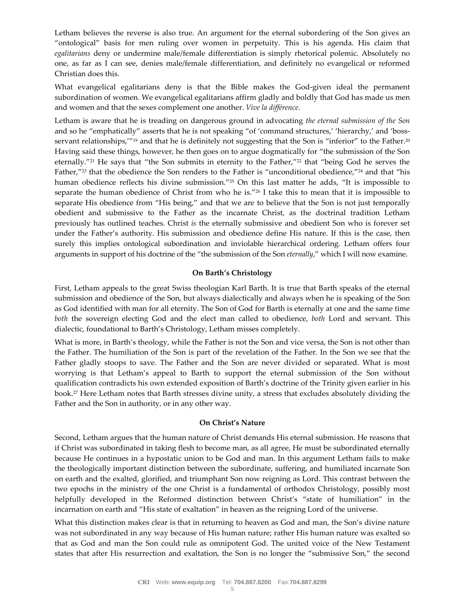Letham believes the reverse is also true. An argument for the eternal subordering of the Son gives an "ontological" basis for men ruling over women in perpetuity. This is his agenda. His claim that *egalitarians* deny or undermine male/female differentiation is simply rhetorical polemic. Absolutely no one, as far as I can see, denies male/female differentiation, and definitely no evangelical or reformed Christian does this.

What evangelical egalitarians deny is that the Bible makes the God-given ideal the permanent subordination of women. We evangelical egalitarians affirm gladly and boldly that God has made us men and women and that the sexes complement one another. *Vive la différence*.

Letham is aware that he is treading on dangerous ground in advocating *the eternal submission of the Son* and so he "emphatically" asserts that he is not speaking "of 'command structures,' 'hierarchy,' and 'bossservant relationships,"<sup>19</sup> and that he is definitely not suggesting that the Son is "inferior" to the Father.<sup>20</sup> Having said these things, however, he then goes on to argue dogmatically for "the submission of the Son eternally."<sup>21</sup> He says that "the Son submits in eternity to the Father,"<sup>22</sup> that "being God he serves the Father,"<sup>23</sup> that the obedience the Son renders to the Father is "unconditional obedience,"<sup>24</sup> and that "his human obedience reflects his divine submission."<sup>25</sup> On this last matter he adds, "It is impossible to separate the human obedience of Christ from who he is."<sup>26</sup> I take this to mean that it is impossible to separate His obedience from "His being," and that we are to believe that the Son is not just temporally obedient and submissive to the Father as the incarnate Christ, as the doctrinal tradition Letham previously has outlined teaches. Christ *is* the eternally submissive and obedient Son who is forever set under the Father's authority. His submission and obedience define His nature. If this is the case, then surely this implies ontological subordination and inviolable hierarchical ordering. Letham offers four arguments in support of his doctrine of the "the submission of the Son *eternally*," which I will now examine.

#### **On Barth's Christology**

First, Letham appeals to the great Swiss theologian Karl Barth. It is true that Barth speaks of the eternal submission and obedience of the Son, but always dialectically and always when he is speaking of the Son as God identified with man for all eternity. The Son of God for Barth is eternally at one and the same time *both* the sovereign electing God and the elect man called to obedience, *both* Lord and servant. This dialectic, foundational to Barth's Christology, Letham misses completely.

What is more, in Barth's theology, while the Father is not the Son and vice versa, the Son is not other than the Father. The humiliation of the Son is part of the revelation of the Father. In the Son we see that the Father gladly stoops to save. The Father and the Son are never divided or separated. What is most worrying is that Letham's appeal to Barth to support the eternal submission of the Son without qualification contradicts his own extended exposition of Barth's doctrine of the Trinity given earlier in his book.<sup>27</sup> Here Letham notes that Barth stresses divine unity, a stress that excludes absolutely dividing the Father and the Son in authority, or in any other way.

#### **On Christ's Nature**

Second, Letham argues that the human nature of Christ demands His eternal submission. He reasons that if Christ was subordinated in taking flesh to become man, as all agree, He must be subordinated eternally because He continues in a hypostatic union to be God and man. In this argument Letham fails to make the theologically important distinction between the subordinate, suffering, and humiliated incarnate Son on earth and the exalted, glorified, and triumphant Son now reigning as Lord. This contrast between the two epochs in the ministry of the one Christ is a fundamental of orthodox Christology, possibly most helpfully developed in the Reformed distinction between Christ's "state of humiliation" in the incarnation on earth and "His state of exaltation" in heaven as the reigning Lord of the universe.

What this distinction makes clear is that in returning to heaven as God and man, the Son's divine nature was not subordinated in any way because of His human nature; rather His human nature was exalted so that as God and man the Son could rule as omnipotent God. The united voice of the New Testament states that after His resurrection and exaltation, the Son is no longer the "submissive Son," the second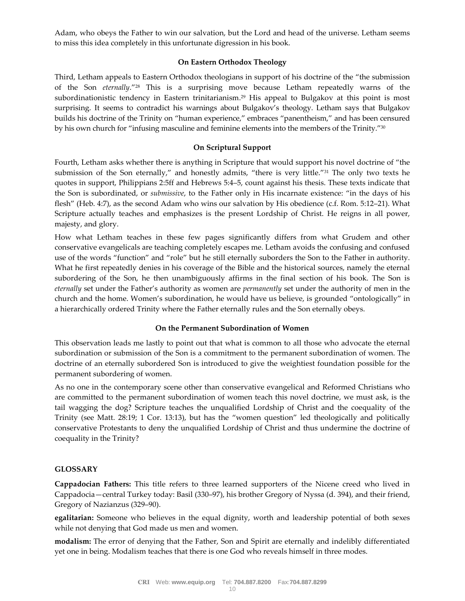Adam, who obeys the Father to win our salvation, but the Lord and head of the universe. Letham seems to miss this idea completely in this unfortunate digression in his book.

#### **On Eastern Orthodox Theology**

Third, Letham appeals to Eastern Orthodox theologians in support of his doctrine of the "the submission of the Son *eternally*."<sup>28</sup> This is a surprising move because Letham repeatedly warns of the subordinationistic tendency in Eastern trinitarianism.<sup>29</sup> His appeal to Bulgakov at this point is most surprising. It seems to contradict his warnings about Bulgakov's theology. Letham says that Bulgakov builds his doctrine of the Trinity on "human experience," embraces "panentheism," and has been censured by his own church for "infusing masculine and feminine elements into the members of the Trinity."<sup>30</sup>

## **On Scriptural Support**

Fourth, Letham asks whether there is anything in Scripture that would support his novel doctrine of "the submission of the Son eternally," and honestly admits, "there is very little."<sup>31</sup> The only two texts he quotes in support, Philippians 2:5ff and Hebrews 5:4–5, count against his thesis. These texts indicate that the Son is subordinated, or *submissive*, to the Father only in His incarnate existence: "in the days of his flesh" (Heb. 4:7), as the second Adam who wins our salvation by His obedience (c.f. Rom. 5:12–21). What Scripture actually teaches and emphasizes is the present Lordship of Christ. He reigns in all power, majesty, and glory.

How what Letham teaches in these few pages significantly differs from what Grudem and other conservative evangelicals are teaching completely escapes me. Letham avoids the confusing and confused use of the words "function" and "role" but he still eternally suborders the Son to the Father in authority. What he first repeatedly denies in his coverage of the Bible and the historical sources, namely the eternal subordering of the Son, he then unambiguously affirms in the final section of his book. The Son is *eternally* set under the Father's authority as women are *permanently* set under the authority of men in the church and the home. Women's subordination, he would have us believe, is grounded "ontologically" in a hierarchically ordered Trinity where the Father eternally rules and the Son eternally obeys.

## **On the Permanent Subordination of Women**

This observation leads me lastly to point out that what is common to all those who advocate the eternal subordination or submission of the Son is a commitment to the permanent subordination of women. The doctrine of an eternally subordered Son is introduced to give the weightiest foundation possible for the permanent subordering of women.

As no one in the contemporary scene other than conservative evangelical and Reformed Christians who are committed to the permanent subordination of women teach this novel doctrine, we must ask, is the tail wagging the dog? Scripture teaches the unqualified Lordship of Christ and the coequality of the Trinity (see Matt. 28:19; 1 Cor. 13:13), but has the "women question" led theologically and politically conservative Protestants to deny the unqualified Lordship of Christ and thus undermine the doctrine of coequality in the Trinity?

## **GLOSSARY**

**Cappadocian Fathers:** This title refers to three learned supporters of the Nicene creed who lived in Cappadocia—central Turkey today: Basil (330–97), his brother Gregory of Nyssa (d. 394), and their friend, Gregory of Nazianzus (329–90).

**egalitarian:** Someone who believes in the equal dignity, worth and leadership potential of both sexes while not denying that God made us men and women.

**modalism:** The error of denying that the Father, Son and Spirit are eternally and indelibly differentiated yet one in being. Modalism teaches that there is one God who reveals himself in three modes.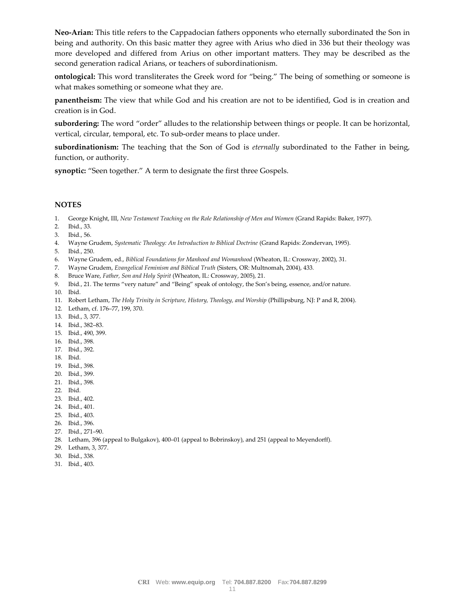**Neo-Arian:** This title refers to the Cappadocian fathers opponents who eternally subordinated the Son in being and authority. On this basic matter they agree with Arius who died in 336 but their theology was more developed and differed from Arius on other important matters. They may be described as the second generation radical Arians, or teachers of subordinationism.

**ontological:** This word transliterates the Greek word for "being." The being of something or someone is what makes something or someone what they are.

**panentheism:** The view that while God and his creation are not to be identified, God is in creation and creation is in God.

**subordering:** The word "order" alludes to the relationship between things or people. It can be horizontal, vertical, circular, temporal, etc. To sub-order means to place under.

**subordinationism:** The teaching that the Son of God is *eternally* subordinated to the Father in being, function, or authority.

**synoptic:** "Seen together." A term to designate the first three Gospels.

#### **NOTES**

- 1. George Knight, III, *New Testament Teaching on the Role Relationship of Men and Women* (Grand Rapids: Baker, 1977).
- 2. Ibid., 33.
- 3. Ibid., 56.
- 4. Wayne Grudem, *Systematic Theology: An Introduction to Biblical Doctrine* (Grand Rapids: Zondervan, 1995).
- 5. Ibid*.*, 250.
- 6. Wayne Grudem, ed., *Biblical Foundations for Manhood and Womanhood* (Wheaton, IL: Crossway, 2002), 31.
- 7. Wayne Grudem, *Evangelical Feminism and Biblical Truth* (Sisters, OR: Multnomah, 2004), 433*.*
- 8. Bruce Ware, *Father, Son and Holy Spirit* (Wheaton, IL: Crossway, 2005), 21.
- 9. Ibid*.*, 21. The terms "very nature" and "Being" speak of ontology, the Son's being, essence, and/or nature.
- 10. Ibid.
- 11. Robert Letham, *The Holy Trinity in Scripture, History, Theology, and Worship* (Phillipsburg, NJ: P and R, 2004).
- 12. Letham, cf. 176–77, 199, 370.
- 13. Ibid., 3, 377.
- 14. Ibid., 382–83.
- 15. Ibid., 490, 399.
- 16. Ibid., 398.
- 17. Ibid., 392.
- 18. Ibid.
- 19. Ibid., 398.
- 20. Ibid., 399.
- 21. Ibid., 398.
- 22. Ibid.
- 23. Ibid., 402.
- 24. Ibid., 401.
- 25. Ibid., 403.
- 26. Ibid., 396.
- 27. Ibid., 271–90.
- 28. Letham, 396 (appeal to Bulgakov), 400–01 (appeal to Bobrinskoy), and 251 (appeal to Meyendorff).
- 29. Letham, 3, 377.
- 30. Ibid., 338.
- 31. Ibid., 403.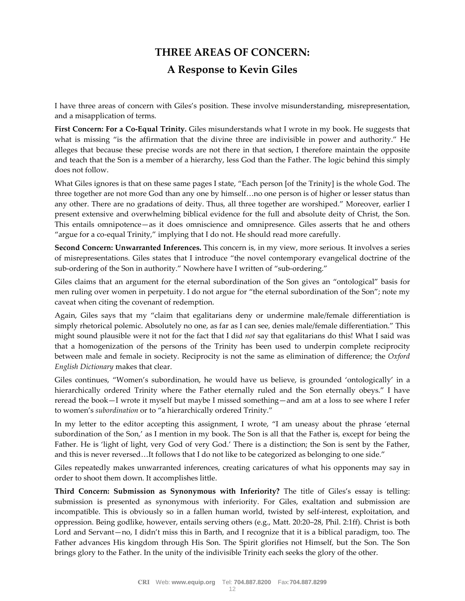# **THREE AREAS OF CONCERN: A Response to Kevin Giles**

I have three areas of concern with Giles's position. These involve misunderstanding, misrepresentation, and a misapplication of terms.

**First Concern: For a Co-Equal Trinity.** Giles misunderstands what I wrote in my book. He suggests that what is missing "is the affirmation that the divine three are indivisible in power and authority." He alleges that because these precise words are not there in that section, I therefore maintain the opposite and teach that the Son is a member of a hierarchy, less God than the Father. The logic behind this simply does not follow.

What Giles ignores is that on these same pages I state, "Each person [of the Trinity] is the whole God. The three together are not more God than any one by himself…no one person is of higher or lesser status than any other. There are no gradations of deity. Thus, all three together are worshiped." Moreover, earlier I present extensive and overwhelming biblical evidence for the full and absolute deity of Christ, the Son. This entails omnipotence—as it does omniscience and omnipresence. Giles asserts that he and others "argue for a co-equal Trinity," implying that I do not. He should read more carefully.

**Second Concern: Unwarranted Inferences.** This concern is, in my view, more serious. It involves a series of misrepresentations. Giles states that I introduce "the novel contemporary evangelical doctrine of the sub-ordering of the Son in authority." Nowhere have I written of "sub-ordering."

Giles claims that an argument for the eternal subordination of the Son gives an "ontological" basis for men ruling over women in perpetuity. I do not argue for "the eternal subordination of the Son"; note my caveat when citing the covenant of redemption.

Again, Giles says that my "claim that egalitarians deny or undermine male/female differentiation is simply rhetorical polemic. Absolutely no one, as far as I can see, denies male/female differentiation." This might sound plausible were it not for the fact that I did *not* say that egalitarians do this! What I said was that a homogenization of the persons of the Trinity has been used to underpin complete reciprocity between male and female in society. Reciprocity is not the same as elimination of difference; the *Oxford English Dictionary* makes that clear.

Giles continues, "Women's subordination, he would have us believe, is grounded 'ontologically' in a hierarchically ordered Trinity where the Father eternally ruled and the Son eternally obeys." I have reread the book—I wrote it myself but maybe I missed something—and am at a loss to see where I refer to women's *subordination* or to "a hierarchically ordered Trinity."

In my letter to the editor accepting this assignment, I wrote, "I am uneasy about the phrase 'eternal subordination of the Son,' as I mention in my book. The Son is all that the Father is, except for being the Father. He is 'light of light, very God of very God.' There is a distinction; the Son is sent by the Father, and this is never reversed…It follows that I do not like to be categorized as belonging to one side."

Giles repeatedly makes unwarranted inferences, creating caricatures of what his opponents may say in order to shoot them down. It accomplishes little.

**Third Concern: Submission as Synonymous with Inferiority?** The title of Giles's essay is telling: submission is presented as synonymous with inferiority. For Giles, exaltation and submission are incompatible. This is obviously so in a fallen human world, twisted by self-interest, exploitation, and oppression. Being godlike, however, entails serving others (e.g., Matt. 20:20–28, Phil. 2:1ff). Christ is both Lord and Servant—no, I didn't miss this in Barth, and I recognize that it is a biblical paradigm, too. The Father advances His kingdom through His Son. The Spirit glorifies not Himself, but the Son. The Son brings glory to the Father. In the unity of the indivisible Trinity each seeks the glory of the other.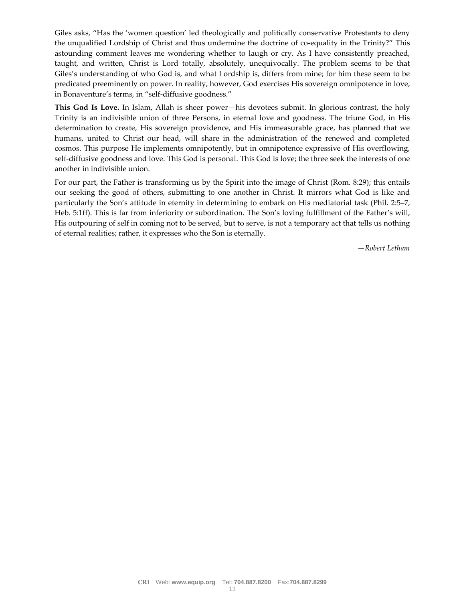Giles asks, "Has the 'women question' led theologically and politically conservative Protestants to deny the unqualified Lordship of Christ and thus undermine the doctrine of co-equality in the Trinity?" This astounding comment leaves me wondering whether to laugh or cry. As I have consistently preached, taught, and written, Christ is Lord totally, absolutely, unequivocally. The problem seems to be that Giles's understanding of who God is, and what Lordship is, differs from mine; for him these seem to be predicated preeminently on power. In reality, however, God exercises His sovereign omnipotence in love, in Bonaventure's terms, in "self-diffusive goodness."

**This God Is Love.** In Islam, Allah is sheer power—his devotees submit. In glorious contrast, the holy Trinity is an indivisible union of three Persons, in eternal love and goodness. The triune God, in His determination to create, His sovereign providence, and His immeasurable grace, has planned that we humans, united to Christ our head, will share in the administration of the renewed and completed cosmos. This purpose He implements omnipotently, but in omnipotence expressive of His overflowing, self-diffusive goodness and love. This God is personal. This God is love; the three seek the interests of one another in indivisible union.

For our part, the Father is transforming us by the Spirit into the image of Christ (Rom. 8:29); this entails our seeking the good of others, submitting to one another in Christ. It mirrors what God is like and particularly the Son's attitude in eternity in determining to embark on His mediatorial task (Phil. 2:5–7, Heb. 5:1ff). This is far from inferiority or subordination. The Son's loving fulfillment of the Father's will, His outpouring of self in coming not to be served, but to serve, is not a temporary act that tells us nothing of eternal realities; rather, it expresses who the Son is eternally.

*—Robert Letham*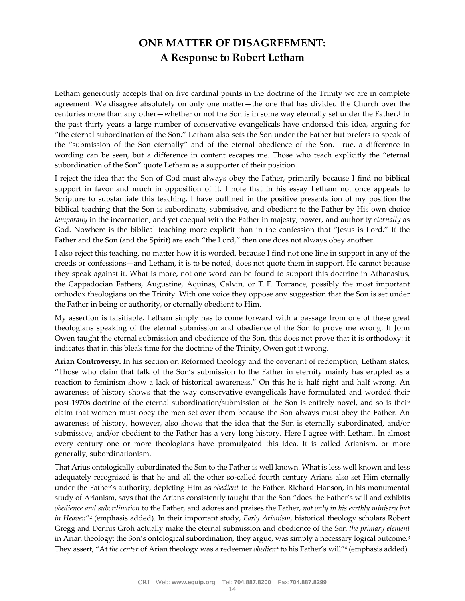# **ONE MATTER OF DISAGREEMENT: A Response to Robert Letham**

Letham generously accepts that on five cardinal points in the doctrine of the Trinity we are in complete agreement. We disagree absolutely on only one matter—the one that has divided the Church over the centuries more than any other—whether or not the Son is in some way eternally set under the Father.<sup>1</sup> In the past thirty years a large number of conservative evangelicals have endorsed this idea, arguing for "the eternal subordination of the Son." Letham also sets the Son under the Father but prefers to speak of the "submission of the Son eternally" and of the eternal obedience of the Son. True, a difference in wording can be seen, but a difference in content escapes me. Those who teach explicitly the "eternal subordination of the Son" quote Letham as a supporter of their position.

I reject the idea that the Son of God must always obey the Father, primarily because I find no biblical support in favor and much in opposition of it. I note that in his essay Letham not once appeals to Scripture to substantiate this teaching. I have outlined in the positive presentation of my position the biblical teaching that the Son is subordinate, submissive, and obedient to the Father by His own choice *temporally* in the incarnation, and yet coequal with the Father in majesty, power, and authority *eternally* as God. Nowhere is the biblical teaching more explicit than in the confession that "Jesus is Lord." If the Father and the Son (and the Spirit) are each "the Lord," then one does not always obey another.

I also reject this teaching, no matter how it is worded, because I find not one line in support in any of the creeds or confessions—and Letham, it is to be noted, does not quote them in support. He cannot because they speak against it. What is more, not one word can be found to support this doctrine in Athanasius, the Cappadocian Fathers, Augustine, Aquinas, Calvin, or T. F. Torrance, possibly the most important orthodox theologians on the Trinity. With one voice they oppose any suggestion that the Son is set under the Father in being or authority, or eternally obedient to Him.

My assertion is falsifiable. Letham simply has to come forward with a passage from one of these great theologians speaking of the eternal submission and obedience of the Son to prove me wrong. If John Owen taught the eternal submission and obedience of the Son, this does not prove that it is orthodoxy: it indicates that in this bleak time for the doctrine of the Trinity, Owen got it wrong.

**Arian Controversy.** In his section on Reformed theology and the covenant of redemption, Letham states, "Those who claim that talk of the Son's submission to the Father in eternity mainly has erupted as a reaction to feminism show a lack of historical awareness." On this he is half right and half wrong. An awareness of history shows that the way conservative evangelicals have formulated and worded their post-1970s doctrine of the eternal subordination/submission of the Son is entirely novel, and so is their claim that women must obey the men set over them because the Son always must obey the Father. An awareness of history, however, also shows that the idea that the Son is eternally subordinated, and/or submissive, and/or obedient to the Father has a very long history. Here I agree with Letham. In almost every century one or more theologians have promulgated this idea. It is called Arianism, or more generally, subordinationism.

That Arius ontologically subordinated the Son to the Father is well known. What is less well known and less adequately recognized is that he and all the other so-called fourth century Arians also set Him eternally under the Father's authority, depicting Him as *obedient* to the Father. Richard Hanson, in his monumental study of Arianism, says that the Arians consistently taught that the Son "does the Father's will and exhibits *obedience and subordination* to the Father, and adores and praises the Father, *not only in his earthly ministry but in Heaven*" 2 (emphasis added). In their important study, *Early Arianism*, historical theology scholars Robert Gregg and Dennis Groh actually make the eternal submission and obedience of the Son *the primary element* in Arian theology; the Son's ontological subordination, they argue, was simply a necessary logical outcome.<sup>3</sup> They assert, "At *the center* of Arian theology was a redeemer *obedient* to his Father's will"<sup>4</sup> (emphasis added).